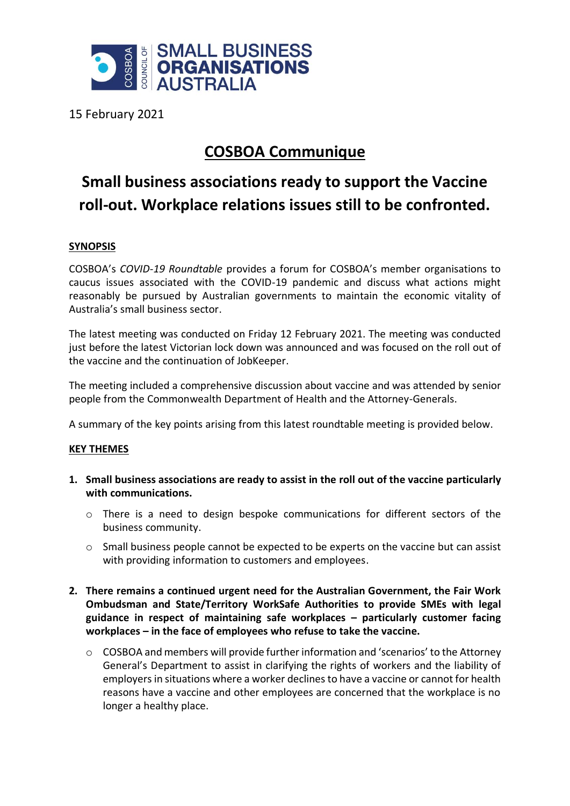

15 February 2021

## **COSBOA Communique**

## **Small business associations ready to support the Vaccine roll-out. Workplace relations issues still to be confronted.**

## **SYNOPSIS**

COSBOA's *COVID-19 Roundtable* provides a forum for COSBOA's member organisations to caucus issues associated with the COVID-19 pandemic and discuss what actions might reasonably be pursued by Australian governments to maintain the economic vitality of Australia's small business sector.

The latest meeting was conducted on Friday 12 February 2021. The meeting was conducted just before the latest Victorian lock down was announced and was focused on the roll out of the vaccine and the continuation of JobKeeper.

The meeting included a comprehensive discussion about vaccine and was attended by senior people from the Commonwealth Department of Health and the Attorney-Generals.

A summary of the key points arising from this latest roundtable meeting is provided below.

## **KEY THEMES**

- **1. Small business associations are ready to assist in the roll out of the vaccine particularly with communications.**
	- o There is a need to design bespoke communications for different sectors of the business community.
	- o Small business people cannot be expected to be experts on the vaccine but can assist with providing information to customers and employees.
- **2. There remains a continued urgent need for the Australian Government, the Fair Work Ombudsman and State/Territory WorkSafe Authorities to provide SMEs with legal guidance in respect of maintaining safe workplaces – particularly customer facing workplaces – in the face of employees who refuse to take the vaccine.**
	- $\circ$  COSBOA and members will provide further information and 'scenarios' to the Attorney General's Department to assist in clarifying the rights of workers and the liability of employers in situations where a worker declines to have a vaccine or cannot for health reasons have a vaccine and other employees are concerned that the workplace is no longer a healthy place.